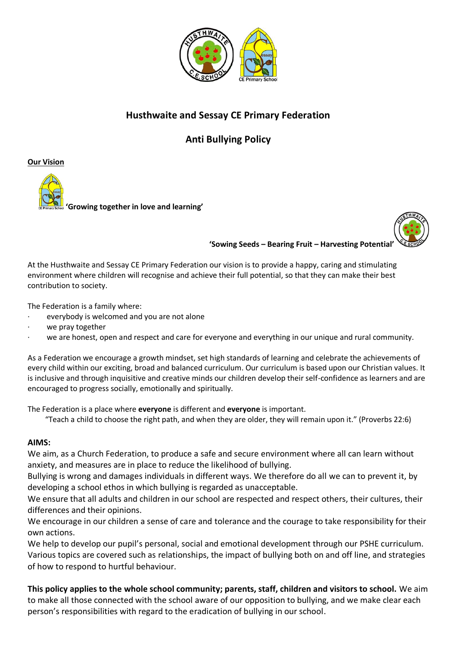

## **Husthwaite and Sessay CE Primary Federation**

**Anti Bullying Policy**

**Our Vision**





**'Sowing Seeds – Bearing Fruit – Harvesting Potential'**

At the Husthwaite and Sessay CE Primary Federation our vision is to provide a happy, caring and stimulating environment where children will recognise and achieve their full potential, so that they can make their best contribution to society.

The Federation is a family where:

- everybody is welcomed and you are not alone
- we pray together
- we are honest, open and respect and care for everyone and everything in our unique and rural community.

As a Federation we encourage a growth mindset, set high standards of learning and celebrate the achievements of every child within our exciting, broad and balanced curriculum. Our curriculum is based upon our Christian values. It is inclusive and through inquisitive and creative minds our children develop their self-confidence as learners and are encouraged to progress socially, emotionally and spiritually.

The Federation is a place where **everyone** is different and **everyone** is important.

"Teach a child to choose the right path, and when they are older, they will remain upon it." (Proverbs 22:6)

## **AIMS:**

We aim, as a Church Federation, to produce a safe and secure environment where all can learn without anxiety, and measures are in place to reduce the likelihood of bullying.

Bullying is wrong and damages individuals in different ways. We therefore do all we can to prevent it, by developing a school ethos in which bullying is regarded as unacceptable.

We ensure that all adults and children in our school are respected and respect others, their cultures, their differences and their opinions.

We encourage in our children a sense of care and tolerance and the courage to take responsibility for their own actions.

We help to develop our pupil's personal, social and emotional development through our PSHE curriculum. Various topics are covered such as relationships, the impact of bullying both on and off line, and strategies of how to respond to hurtful behaviour.

**This policy applies to the whole school community; parents, staff, children and visitors to school.** We aim to make all those connected with the school aware of our opposition to bullying, and we make clear each person's responsibilities with regard to the eradication of bullying in our school.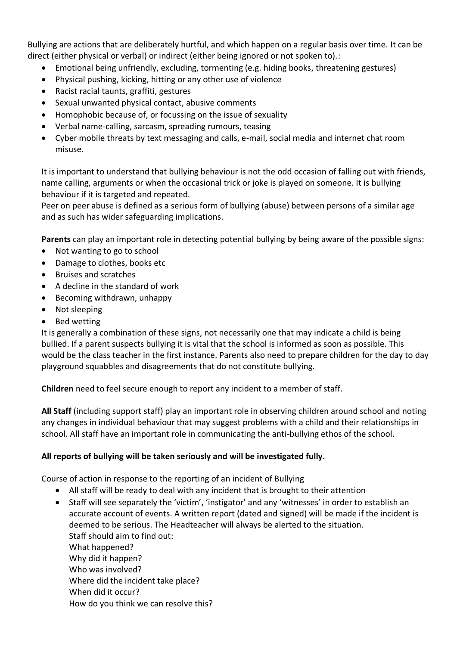Bullying are actions that are deliberately hurtful, and which happen on a regular basis over time. It can be direct (either physical or verbal) or indirect (either being ignored or not spoken to).:

- Emotional being unfriendly, excluding, tormenting (e.g. hiding books, threatening gestures)
- Physical pushing, kicking, hitting or any other use of violence
- Racist racial taunts, graffiti, gestures
- Sexual unwanted physical contact, abusive comments
- Homophobic because of, or focussing on the issue of sexuality
- Verbal name-calling, sarcasm, spreading rumours, teasing
- Cyber mobile threats by text messaging and calls, e-mail, social media and internet chat room misuse.

It is important to understand that bullying behaviour is not the odd occasion of falling out with friends, name calling, arguments or when the occasional trick or joke is played on someone. It is bullying behaviour if it is targeted and repeated.

Peer on peer abuse is defined as a serious form of bullying (abuse) between persons of a similar age and as such has wider safeguarding implications.

**Parents** can play an important role in detecting potential bullying by being aware of the possible signs:

- Not wanting to go to school
- Damage to clothes, books etc
- Bruises and scratches
- A decline in the standard of work
- Becoming withdrawn, unhappy
- Not sleeping
- Bed wetting

It is generally a combination of these signs, not necessarily one that may indicate a child is being bullied. If a parent suspects bullying it is vital that the school is informed as soon as possible. This would be the class teacher in the first instance. Parents also need to prepare children for the day to day playground squabbles and disagreements that do not constitute bullying.

**Children** need to feel secure enough to report any incident to a member of staff.

**All Staff** (including support staff) play an important role in observing children around school and noting any changes in individual behaviour that may suggest problems with a child and their relationships in school. All staff have an important role in communicating the anti-bullying ethos of the school.

## **All reports of bullying will be taken seriously and will be investigated fully.**

Course of action in response to the reporting of an incident of Bullying

- All staff will be ready to deal with any incident that is brought to their attention
- Staff will see separately the 'victim', 'instigator' and any 'witnesses' in order to establish an accurate account of events. A written report (dated and signed) will be made if the incident is deemed to be serious. The Headteacher will always be alerted to the situation. Staff should aim to find out: What happened? Why did it happen? Who was involved? Where did the incident take place? When did it occur? How do you think we can resolve this?